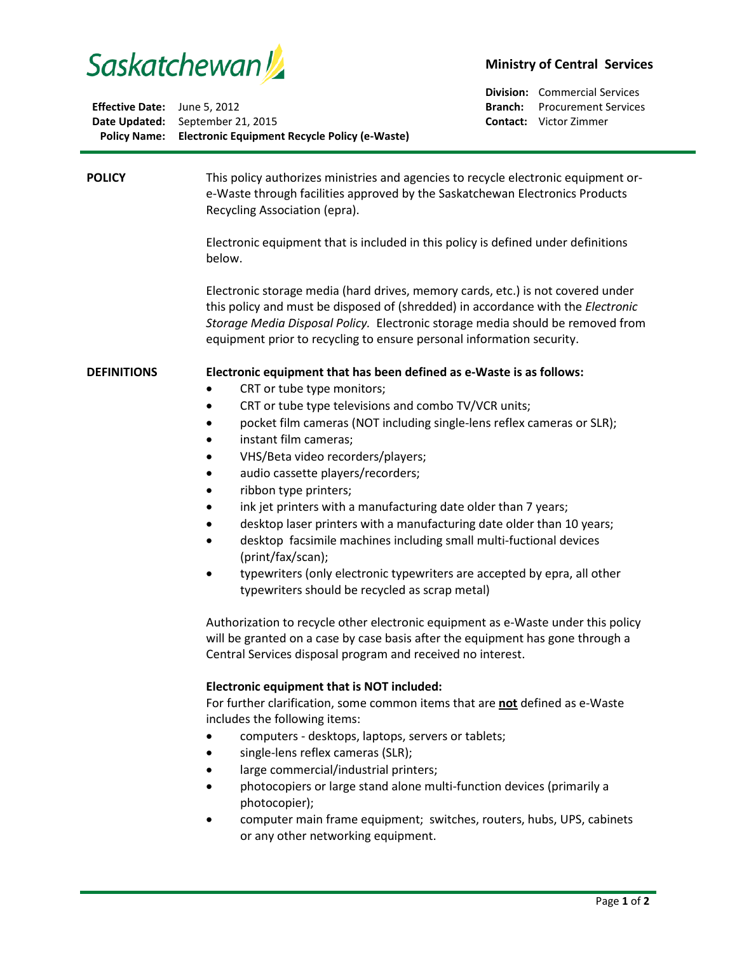

|                                     | Policy Name: Electronic Equipment Recycle Policy (e-Waste) |
|-------------------------------------|------------------------------------------------------------|
|                                     | <b>Date Updated:</b> September 21, 2015                    |
| <b>Effective Date:</b> June 5, 2012 |                                                            |

## **Ministry of Central Services**

**Division:** Commercial Services **Branch:** Procurement Services **Contact:** Victor Zimmer

| <b>POLICY</b>      | This policy authorizes ministries and agencies to recycle electronic equipment or-<br>e-Waste through facilities approved by the Saskatchewan Electronics Products<br>Recycling Association (epra).<br>Electronic equipment that is included in this policy is defined under definitions<br>below.<br>Electronic storage media (hard drives, memory cards, etc.) is not covered under<br>this policy and must be disposed of (shredded) in accordance with the Electronic                                                                                                                                                                                                                                                                                                                                                                                                                                                                                                                                                                                                                                                                                                                                                                                                                                                                                                                                                                                                                                    |
|--------------------|--------------------------------------------------------------------------------------------------------------------------------------------------------------------------------------------------------------------------------------------------------------------------------------------------------------------------------------------------------------------------------------------------------------------------------------------------------------------------------------------------------------------------------------------------------------------------------------------------------------------------------------------------------------------------------------------------------------------------------------------------------------------------------------------------------------------------------------------------------------------------------------------------------------------------------------------------------------------------------------------------------------------------------------------------------------------------------------------------------------------------------------------------------------------------------------------------------------------------------------------------------------------------------------------------------------------------------------------------------------------------------------------------------------------------------------------------------------------------------------------------------------|
|                    | Storage Media Disposal Policy. Electronic storage media should be removed from<br>equipment prior to recycling to ensure personal information security.                                                                                                                                                                                                                                                                                                                                                                                                                                                                                                                                                                                                                                                                                                                                                                                                                                                                                                                                                                                                                                                                                                                                                                                                                                                                                                                                                      |
| <b>DEFINITIONS</b> | Electronic equipment that has been defined as e-Waste is as follows:<br>CRT or tube type monitors;<br>CRT or tube type televisions and combo TV/VCR units;<br>pocket film cameras (NOT including single-lens reflex cameras or SLR);<br>instant film cameras;<br>٠<br>VHS/Beta video recorders/players;<br>audio cassette players/recorders;<br>ribbon type printers;<br>٠<br>ink jet printers with a manufacturing date older than 7 years;<br>desktop laser printers with a manufacturing date older than 10 years;<br>desktop facsimile machines including small multi-fuctional devices<br>$\bullet$<br>(print/fax/scan);<br>typewriters (only electronic typewriters are accepted by epra, all other<br>typewriters should be recycled as scrap metal)<br>Authorization to recycle other electronic equipment as e-Waste under this policy<br>will be granted on a case by case basis after the equipment has gone through a<br>Central Services disposal program and received no interest.<br>Electronic equipment that is NOT included:<br>For further clarification, some common items that are not defined as e-Waste<br>includes the following items:<br>computers - desktops, laptops, servers or tablets;<br>single-lens reflex cameras (SLR);<br>large commercial/industrial printers;<br>photocopiers or large stand alone multi-function devices (primarily a<br>photocopier);<br>computer main frame equipment; switches, routers, hubs, UPS, cabinets<br>or any other networking equipment. |
|                    |                                                                                                                                                                                                                                                                                                                                                                                                                                                                                                                                                                                                                                                                                                                                                                                                                                                                                                                                                                                                                                                                                                                                                                                                                                                                                                                                                                                                                                                                                                              |